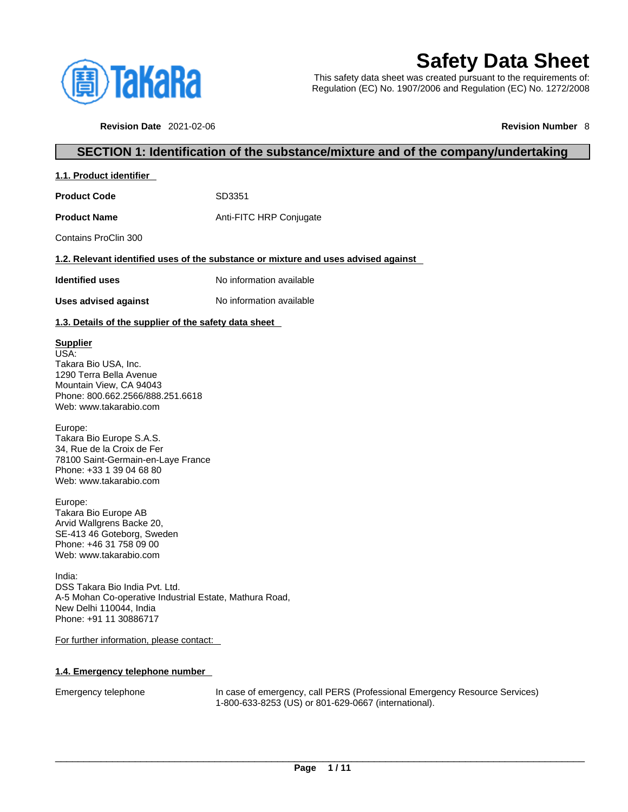

# **Safety Data Sheet**

This safety data sheet was created pursuant to the requirements of: Regulation (EC) No. 1907/2006 and Regulation (EC) No. 1272/2008

**Revision Date** 2021-02-06 **Revision Number** 8

# **SECTION 1: Identification of the substance/mixture and of the company/undertaking**

# **1.1. Product identifier**

Product Code SD3351

**Product Name** Anti-FITC HRP Conjugate

Contains ProClin 300

#### **1.2. Relevant identified uses of the substance or mixture and uses advised against**

**Identified uses** No information available

**Uses advised against** No information available

#### **1.3. Details of the supplier of the safety data sheet**

#### **Supplier**

USA: Takara Bio USA, Inc. 1290 Terra Bella Avenue Mountain View, CA 94043 Phone: 800.662.2566/888.251.6618 Web: www.takarabio.com

Europe:

Takara Bio Europe S.A.S. 34, Rue de la Croix de Fer 78100 Saint-Germain-en-Laye France Phone: +33 1 39 04 68 80 Web: www.takarabio.com

Europe: Takara Bio Europe AB Arvid Wallgrens Backe 20, SE-413 46 Goteborg, Sweden Phone: +46 31 758 09 00 Web: www.takarabio.com

India: DSS Takara Bio India Pvt. Ltd. A-5 Mohan Co-operative Industrial Estate, Mathura Road, New Delhi 110044, India Phone: +91 11 30886717

For further information, please contact:

#### **1.4. Emergency telephone number**

Emergency telephone In case of emergency, call PERS (Professional Emergency Resource Services) 1-800-633-8253 (US) or 801-629-0667 (international).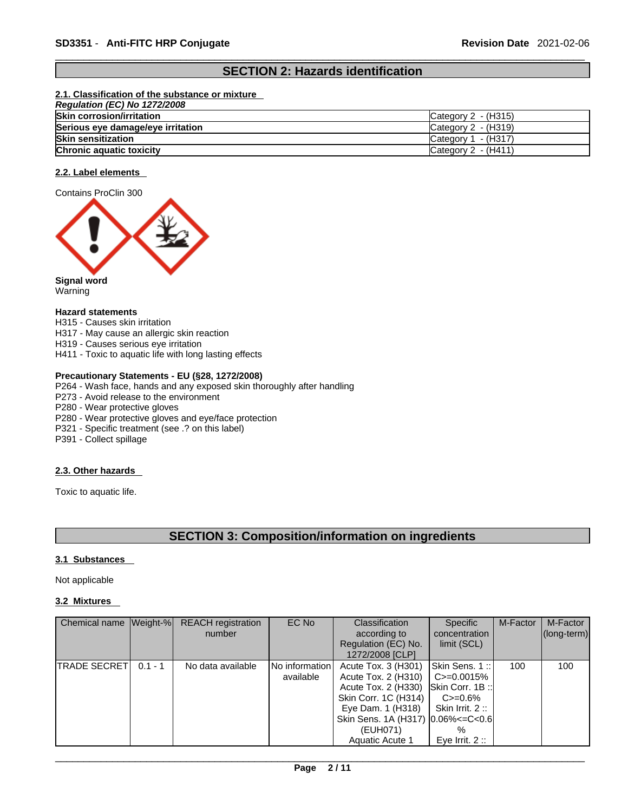# **SECTION 2: Hazards identification**

#### **2.1. Classification of the substance or mixture**

| Regulation (EC) No 1272/2008      |                                 |
|-----------------------------------|---------------------------------|
| <b>Skin corrosion/irritation</b>  | $\textsf{C}$ ategory 2 - (H315) |
| Serious eye damage/eye irritation | $\textsf{C}$ ategory 2 - (H319) |
| <b>Skin sensitization</b>         | Category $1 - (H317)$           |
| <b>Chronic aquatic toxicity</b>   | Category 2 - (H411)             |

#### **2.2. Label elements**





Warning

#### **Hazard statements**

- H315 Causes skin irritation
- H317 May cause an allergic skin reaction
- H319 Causes serious eye irritation
- H411 Toxic to aquatic life with long lasting effects

#### **Precautionary Statements - EU (§28, 1272/2008)**

- P264 Wash face, hands and any exposed skin thoroughly after handling
- P273 Avoid release to the environment
- P280 Wear protective gloves
- P280 Wear protective gloves and eye/face protection
- P321 Specific treatment (see .? on this label)
- P391 Collect spillage

#### **2.3. Other hazards**

Toxic to aquatic life.

# **SECTION 3: Composition/information on ingredients**

#### **3.1 Substances**

Not applicable

# **3.2 Mixtures**

| Chemical name Weight-% |           | <b>REACH</b> registration<br>number | EC No                         | Classification<br>according to<br>Regulation (EC) No.<br>1272/2008 [CLP]                                                                                                                                     | Specific<br>concentration<br>limit (SCL)                                           | M-Factor | M-Factor<br>$ $ (long-term) $ $ |
|------------------------|-----------|-------------------------------------|-------------------------------|--------------------------------------------------------------------------------------------------------------------------------------------------------------------------------------------------------------|------------------------------------------------------------------------------------|----------|---------------------------------|
| <b>TRADE SECRETI</b>   | $0.1 - 1$ | No data available                   | INo informationI<br>available | Acute Tox. 3 (H301)<br>Acute Tox. 2 (H310)<br>Acute Tox. 2 (H330) Skin Corr. 1B::<br>Skin Corr. 1C (H314)<br>Eye Dam. 1 (H318)<br>Skin Sens. 1A (H317) $ 0.06\% < = C < 0.6 $<br>(EUH071)<br>Aquatic Acute 1 | Skin Sens. 1::<br>C>=0.0015%<br>$C = 0.6\%$<br>Skin Irrit. 2::<br>Eve Irrit, $2::$ | 100      | 100                             |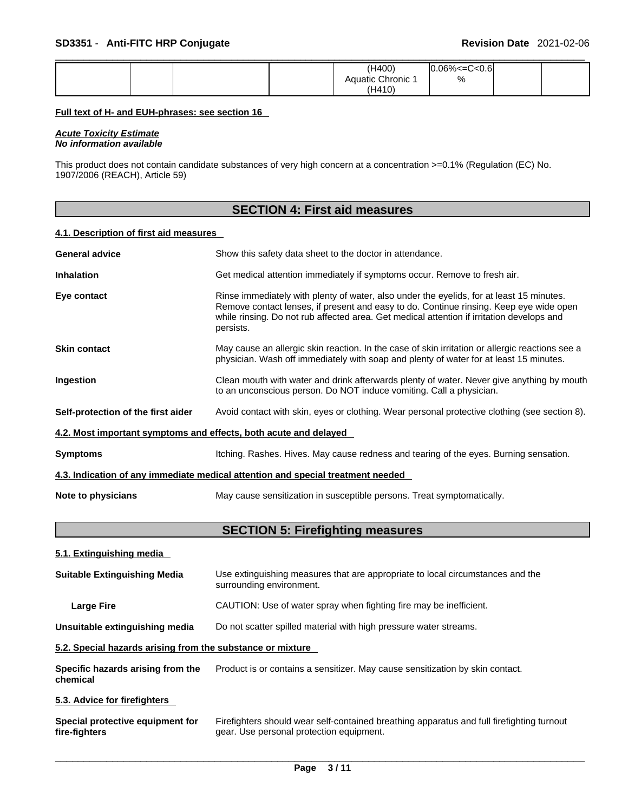|  |  | (H400)          | $.06\% < = C < 0.6$<br>m |  |
|--|--|-----------------|--------------------------|--|
|  |  | Aquatic Chronic | %                        |  |
|  |  | (H410)          |                          |  |

#### **Full text of H- and EUH-phrases: see section 16**

*Acute Toxicity Estimate No information available* 

This product does not contain candidate substances of very high concern at a concentration >=0.1% (Regulation (EC) No. 1907/2006 (REACH), Article 59)

|                                        | <b>SECTION 4: First aid measures</b>                                                                                                                                                                                                                                                         |
|----------------------------------------|----------------------------------------------------------------------------------------------------------------------------------------------------------------------------------------------------------------------------------------------------------------------------------------------|
| 4.1. Description of first aid measures |                                                                                                                                                                                                                                                                                              |
| <b>General advice</b>                  | Show this safety data sheet to the doctor in attendance.                                                                                                                                                                                                                                     |
| <b>Inhalation</b>                      | Get medical attention immediately if symptoms occur. Remove to fresh air.                                                                                                                                                                                                                    |
| Eye contact                            | Rinse immediately with plenty of water, also under the eyelids, for at least 15 minutes.<br>Remove contact lenses, if present and easy to do. Continue rinsing. Keep eye wide open<br>while rinsing. Do not rub affected area. Get medical attention if irritation develops and<br>persists. |
| <b>Skin contact</b>                    | May cause an allergic skin reaction. In the case of skin irritation or allergic reactions see a<br>physician. Wash off immediately with soap and plenty of water for at least 15 minutes.                                                                                                    |
| Ingestion                              | Clean mouth with water and drink afterwards plenty of water. Never give anything by mouth<br>to an unconscious person. Do NOT induce vomiting. Call a physician.                                                                                                                             |
| Self-protection of the first aider     | Avoid contact with skin, eyes or clothing. Wear personal protective clothing (see section 8).                                                                                                                                                                                                |
|                                        | 4.2. Most important symptoms and effects, both acute and delayed                                                                                                                                                                                                                             |
| <b>Symptoms</b>                        | Itching. Rashes. Hives. May cause redness and tearing of the eyes. Burning sensation.                                                                                                                                                                                                        |
|                                        | 4.3. Indication of any immediate medical attention and special treatment needed                                                                                                                                                                                                              |
| Note to physicians                     | May cause sensitization in susceptible persons. Treat symptomatically.                                                                                                                                                                                                                       |
|                                        | <b>SECTION 5: Firefighting measures</b>                                                                                                                                                                                                                                                      |
| 5.1. Extinguishing media               |                                                                                                                                                                                                                                                                                              |
| <b>Suitable Extinguishing Media</b>    | Use extinguishing measures that are appropriate to local circumstances and the<br>surrounding environment.                                                                                                                                                                                   |
| <b>Large Fire</b>                      | CAUTION: Use of water spray when fighting fire may be inefficient.                                                                                                                                                                                                                           |

**Unsuitable extinguishing media** Do not scatter spilled material with high pressure water streams.

#### **5.2. Special hazards arising from the substance or mixture**

| Specific hazards arising from the | Product is or contains a sensitizer. May cause sensitization by skin contact. |
|-----------------------------------|-------------------------------------------------------------------------------|
| chemical                          |                                                                               |

#### **5.3. Advice for firefighters**

| Special protective equipment for | Firefighters should wear self-contained breathing apparatus and full firefighting turnout |
|----------------------------------|-------------------------------------------------------------------------------------------|
| fire-fighters                    | gear. Use personal protection equipment.                                                  |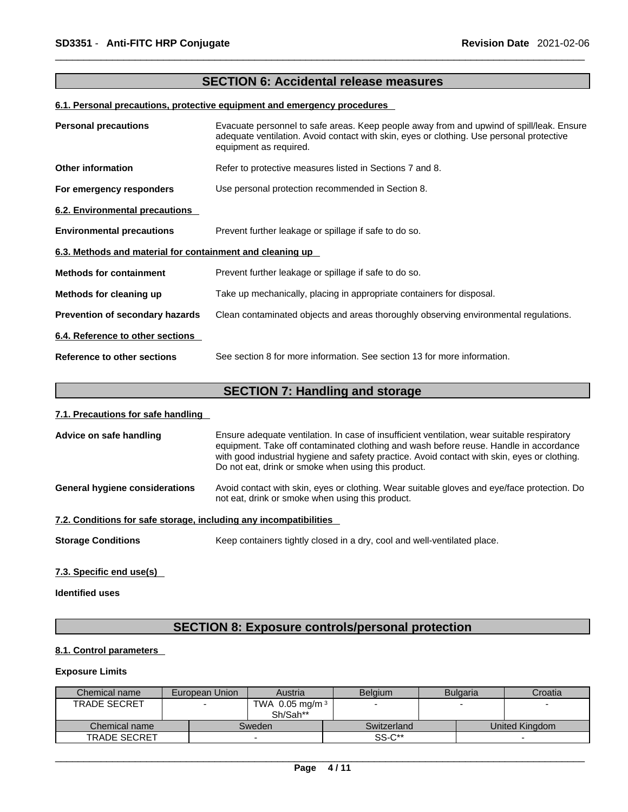# **SECTION 6: Accidental release measures**

#### **6.1. Personal precautions, protective equipment and emergency procedures**

| <b>Personal precautions</b>                               | Evacuate personnel to safe areas. Keep people away from and upwind of spill/leak. Ensure<br>adequate ventilation. Avoid contact with skin, eyes or clothing. Use personal protective<br>equipment as required. |
|-----------------------------------------------------------|----------------------------------------------------------------------------------------------------------------------------------------------------------------------------------------------------------------|
| <b>Other information</b>                                  | Refer to protective measures listed in Sections 7 and 8.                                                                                                                                                       |
| For emergency responders                                  | Use personal protection recommended in Section 8.                                                                                                                                                              |
| 6.2. Environmental precautions                            |                                                                                                                                                                                                                |
| <b>Environmental precautions</b>                          | Prevent further leakage or spillage if safe to do so.                                                                                                                                                          |
| 6.3. Methods and material for containment and cleaning up |                                                                                                                                                                                                                |
| <b>Methods for containment</b>                            | Prevent further leakage or spillage if safe to do so.                                                                                                                                                          |
| Methods for cleaning up                                   | Take up mechanically, placing in appropriate containers for disposal.                                                                                                                                          |
| Prevention of secondary hazards                           | Clean contaminated objects and areas thoroughly observing environmental regulations.                                                                                                                           |
| 6.4. Reference to other sections                          |                                                                                                                                                                                                                |
| Reference to other sections                               | See section 8 for more information. See section 13 for more information.                                                                                                                                       |

# **SECTION 7: Handling and storage**

#### **7.1. Precautions for safe handling**

| Advice on safe handling                                           | Ensure adequate ventilation. In case of insufficient ventilation, wear suitable respiratory<br>equipment. Take off contaminated clothing and wash before reuse. Handle in accordance<br>with good industrial hygiene and safety practice. Avoid contact with skin, eyes or clothing.<br>Do not eat, drink or smoke when using this product. |
|-------------------------------------------------------------------|---------------------------------------------------------------------------------------------------------------------------------------------------------------------------------------------------------------------------------------------------------------------------------------------------------------------------------------------|
| <b>General hygiene considerations</b>                             | Avoid contact with skin, eyes or clothing. Wear suitable gloves and eye/face protection. Do<br>not eat, drink or smoke when using this product.                                                                                                                                                                                             |
| 7.2. Conditions for safe storage, including any incompatibilities |                                                                                                                                                                                                                                                                                                                                             |
| <b>Storage Conditions</b>                                         | Keep containers tightly closed in a dry, cool and well-ventilated place.                                                                                                                                                                                                                                                                    |

#### **7.3. Specific end use(s)**

# **Identified uses**

# **SECTION 8: Exposure controls/personal protection**

#### **8.1. Control parameters**

#### **Exposure Limits**

| Chemical name       | European Union | Austria           | <b>Belgium</b> | <b>Bulgaria</b> | Croatia        |
|---------------------|----------------|-------------------|----------------|-----------------|----------------|
| <b>TRADE SECRET</b> |                | TWA 0.05 mg/m $3$ |                |                 |                |
|                     |                | Sh/Sah**          |                |                 |                |
| Chemical name       |                | Sweden            | Switzerland    |                 | United Kingdom |
| <b>TRADE SECRET</b> |                |                   | SS-C**         |                 |                |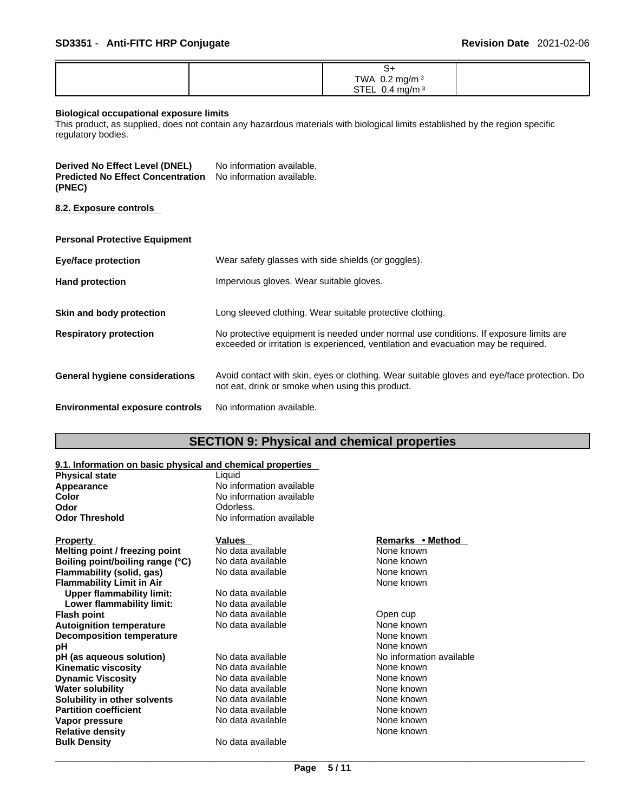|  | -5                 |  |
|--|--------------------|--|
|  | TWA $0.2$ mg/m $3$ |  |
|  | STEL 0.4 mg/m $3$  |  |

#### **Biological occupational exposure limits**

This product, as supplied, does not contain any hazardous materials with biological limits established by the region specific regulatory bodies.

| Derived No Effect Level (DNEL)                                     | No information available. |
|--------------------------------------------------------------------|---------------------------|
| <b>Predicted No Effect Concentration</b> No information available. |                           |
| (PNEC)                                                             |                           |

**8.2. Exposure controls** 

| <b>Eye/face protection</b>             | Wear safety glasses with side shields (or goggles).                                                                                                                         |
|----------------------------------------|-----------------------------------------------------------------------------------------------------------------------------------------------------------------------------|
| <b>Hand protection</b>                 | Impervious gloves. Wear suitable gloves.                                                                                                                                    |
| Skin and body protection               | Long sleeved clothing. Wear suitable protective clothing.                                                                                                                   |
| <b>Respiratory protection</b>          | No protective equipment is needed under normal use conditions. If exposure limits are<br>exceeded or irritation is experienced, ventilation and evacuation may be required. |
| General hygiene considerations         | Avoid contact with skin, eyes or clothing. Wear suitable gloves and eye/face protection. Do<br>not eat, drink or smoke when using this product.                             |
| <b>Environmental exposure controls</b> | No information available.                                                                                                                                                   |

# **SECTION 9: Physical and chemical properties**

| 9.1. Information on basic physical and chemical properties |                          |                          |  |
|------------------------------------------------------------|--------------------------|--------------------------|--|
| <b>Physical state</b>                                      | Liquid                   |                          |  |
| Appearance                                                 | No information available |                          |  |
| Color                                                      | No information available |                          |  |
| Odor                                                       | Odorless.                |                          |  |
| Odor Threshold                                             | No information available |                          |  |
| <b>Property</b>                                            | Values                   | Remarks • Method         |  |
| Melting point / freezing point                             | No data available        | None known               |  |
| Boiling point/boiling range (°C)                           | No data available        | None known               |  |
| Flammability (solid, gas)                                  | No data available        | None known               |  |
| <b>Flammability Limit in Air</b>                           |                          | None known               |  |
| <b>Upper flammability limit:</b>                           | No data available        |                          |  |
| Lower flammability limit:                                  | No data available        |                          |  |
| Flash point                                                | No data available        | Open cup                 |  |
| <b>Autoignition temperature</b>                            | No data available        | None known               |  |
| <b>Decomposition temperature</b>                           |                          | None known               |  |
| pН                                                         |                          | None known               |  |
| pH (as aqueous solution)                                   | No data available        | No information available |  |
| Kinematic viscosity                                        | No data available        | None known               |  |
| <b>Dynamic Viscosity</b>                                   | No data available        | None known               |  |
| Water solubility                                           | No data available        | None known               |  |
| Solubility in other solvents                               | No data available        | None known               |  |
| <b>Partition coefficient</b>                               | No data available        | None known               |  |
| Vapor pressure                                             | No data available        | None known               |  |
| <b>Relative density</b>                                    |                          | None known               |  |
| Bulk Density                                               | No data available        |                          |  |
|                                                            |                          |                          |  |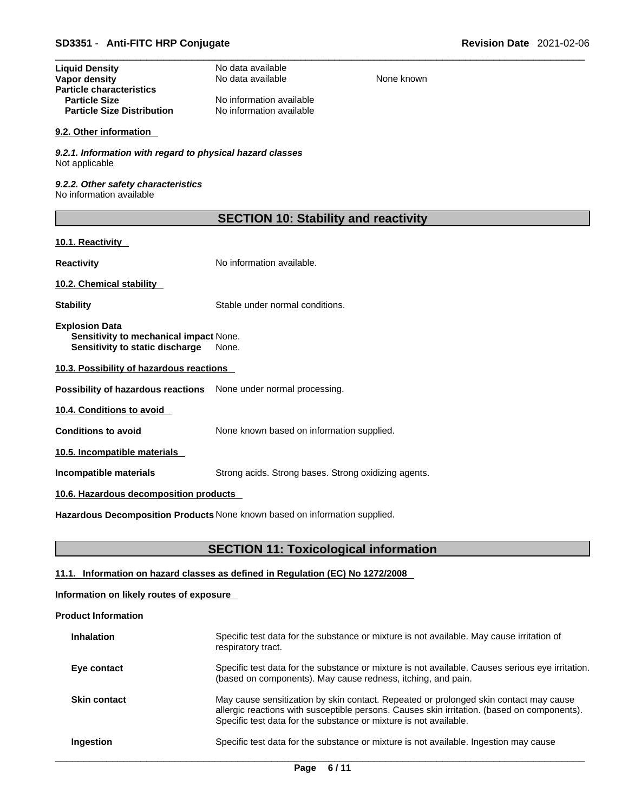| <b>Liquid Density</b><br>Vapor density<br><b>Particle characteristics</b><br><b>Particle Size</b><br><b>Particle Size Distribution</b> | No data available<br>No data available<br>No information available<br>No information available | None known |
|----------------------------------------------------------------------------------------------------------------------------------------|------------------------------------------------------------------------------------------------|------------|
| 9.2. Other information                                                                                                                 |                                                                                                |            |
| 9.2.1. Information with regard to physical hazard classes<br>Not applicable                                                            |                                                                                                |            |
| 9.2.2. Other safety characteristics<br>No information available                                                                        |                                                                                                |            |
|                                                                                                                                        | <b>SECTION 10: Stability and reactivity</b>                                                    |            |
| 10.1. Reactivity                                                                                                                       |                                                                                                |            |
| <b>Reactivity</b>                                                                                                                      | No information available.                                                                      |            |
| 10.2. Chemical stability                                                                                                               |                                                                                                |            |
| <b>Stability</b>                                                                                                                       | Stable under normal conditions.                                                                |            |
| <b>Explosion Data</b><br>Sensitivity to mechanical impact None.<br>Sensitivity to static discharge                                     | None.                                                                                          |            |
| 10.3. Possibility of hazardous reactions                                                                                               |                                                                                                |            |
| Possibility of hazardous reactions                                                                                                     | None under normal processing.                                                                  |            |
| 10.4. Conditions to avoid                                                                                                              |                                                                                                |            |
| <b>Conditions to avoid</b>                                                                                                             | None known based on information supplied.                                                      |            |
| 10.5. Incompatible materials                                                                                                           |                                                                                                |            |
| Incompatible materials                                                                                                                 | Strong acids. Strong bases. Strong oxidizing agents.                                           |            |
| 10.6. Hazardous decomposition products                                                                                                 |                                                                                                |            |
|                                                                                                                                        | Hazardous Decomposition Products None known based on information supplied.                     |            |

# **SECTION 11: Toxicological information**

#### **11.1. Information on hazard classes as defined in Regulation (EC) No 1272/2008**

### **Information on likely routes of exposure**

#### **Product Information**

| <b>Inhalation</b>   | Specific test data for the substance or mixture is not available. May cause irritation of<br>respiratory tract.                                                                                                                                           |
|---------------------|-----------------------------------------------------------------------------------------------------------------------------------------------------------------------------------------------------------------------------------------------------------|
| Eye contact         | Specific test data for the substance or mixture is not available. Causes serious eye irritation.<br>(based on components). May cause redness, itching, and pain.                                                                                          |
| <b>Skin contact</b> | May cause sensitization by skin contact. Repeated or prolonged skin contact may cause<br>allergic reactions with susceptible persons. Causes skin irritation. (based on components).<br>Specific test data for the substance or mixture is not available. |
| Ingestion           | Specific test data for the substance or mixture is not available. Ingestion may cause                                                                                                                                                                     |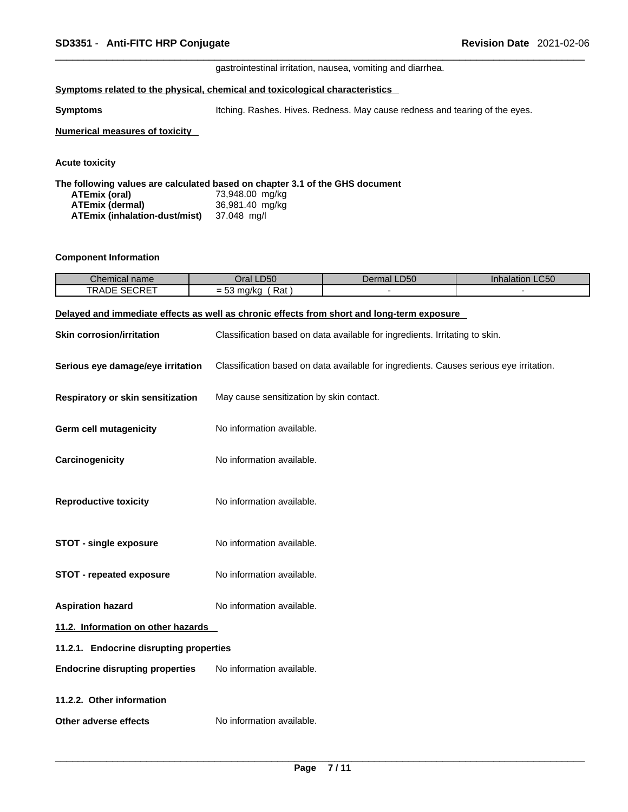gastrointestinal irritation, nausea, vomiting and diarrhea.

#### **<u>Symptoms related to the physical, chemical and toxicological characteristics</u>**

**Symptoms Itching. Rashes. Hives. Redness. May cause redness and tearing of the eyes.** 

#### **Numerical measures of toxicity**

**Acute toxicity** 

**The following values are calculated based on chapter 3.1 of the GHS document ATEmix (oral)** 73,948.00 mg/kg **ATEmix (dermal)**36,981.40 mg/kg

| A I CIIIIX (Germal)           | <b>JU,JUT.40 THU</b> |
|-------------------------------|----------------------|
| ATEmix (inhalation-dust/mist) | 37.048 mg/l          |

#### **Component Information**

| $\sim$<br>Chemical name                     | .D5C<br>)ra                                     | $P^{\sim}$<br>$-$<br>שכּ⊔.<br>110. | $\Gamma$<br>.uau<br>яганог<br>11 11 14 |
|---------------------------------------------|-------------------------------------------------|------------------------------------|----------------------------------------|
| <b>CEODET</b><br><b>TRADE</b><br>UNE<br>◥◡∟ | $DA+$<br>maC<br>77 N.C<br>παι<br>$ \omega$<br>w |                                    |                                        |

#### **Delayed and immediate effects as well as chronic effects from short and long-term exposure**

| <b>Skin corrosion/irritation</b>        | Classification based on data available for ingredients. Irritating to skin.            |  |  |  |
|-----------------------------------------|----------------------------------------------------------------------------------------|--|--|--|
| Serious eye damage/eye irritation       | Classification based on data available for ingredients. Causes serious eye irritation. |  |  |  |
| Respiratory or skin sensitization       | May cause sensitization by skin contact.                                               |  |  |  |
| <b>Germ cell mutagenicity</b>           | No information available.                                                              |  |  |  |
| Carcinogenicity                         | No information available.                                                              |  |  |  |
| <b>Reproductive toxicity</b>            | No information available.                                                              |  |  |  |
| <b>STOT - single exposure</b>           | No information available.                                                              |  |  |  |
| STOT - repeated exposure                | No information available.                                                              |  |  |  |
| <b>Aspiration hazard</b>                | No information available.                                                              |  |  |  |
| 11.2. Information on other hazards      |                                                                                        |  |  |  |
| 11.2.1. Endocrine disrupting properties |                                                                                        |  |  |  |
| <b>Endocrine disrupting properties</b>  | No information available.                                                              |  |  |  |
| 11.2.2. Other information               |                                                                                        |  |  |  |
| Other adverse effects                   | No information available.                                                              |  |  |  |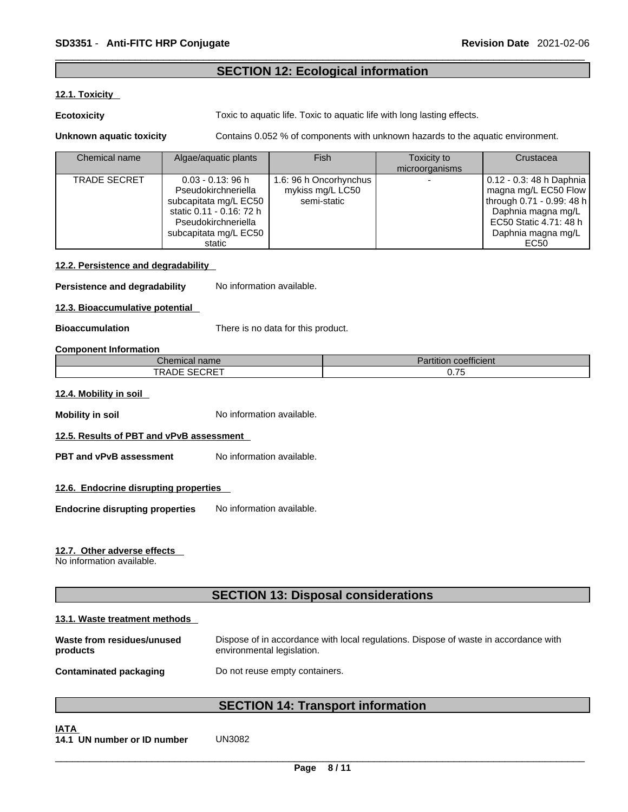# **SECTION 12: Ecological information**

#### **12.1. Toxicity**

**Ecotoxicity Toxic to aquatic life. Toxic to aquatic life with long lasting effects.** 

**Unknown aquatic toxicity** Contains 0.052 % of components with unknown hazards to the aquatic environment.

| Chemical name       | Algae/aquatic plants                                                                                                                                       | Fish                                                      | Toxicity to<br>microorganisms | Crustacea                                                                                                                                                     |
|---------------------|------------------------------------------------------------------------------------------------------------------------------------------------------------|-----------------------------------------------------------|-------------------------------|---------------------------------------------------------------------------------------------------------------------------------------------------------------|
| <b>TRADE SECRET</b> | $0.03 - 0.13$ : 96 h<br>Pseudokirchneriella<br>subcapitata mg/L EC50<br>static 0.11 - 0.16: 72 h<br>Pseudokirchneriella<br>subcapitata mg/L EC50<br>static | 1.6: 96 h Oncorhynchus<br>mykiss mg/L LC50<br>semi-static |                               | 0.12 - 0.3: 48 h Daphnia  <br>magna mg/L EC50 Flow<br>through 0.71 - 0.99: 48 h<br>Daphnia magna mg/L<br>EC50 Static 4.71: 48 h<br>Daphnia magna mg/L<br>EC50 |

#### **12.2. Persistence and degradability**

**Persistence and degradability** No information available.

**12.3. Bioaccumulative potential**

**Bioaccumulation** There is no data for this product.

#### **Component Information**

| Chemical name <sup>r</sup> | Partition coefficient |
|----------------------------|-----------------------|
| TRADE SECRET               | -75<br><b>v.rv</b>    |

# **12.4. Mobility in soil**

**Mobility in soil Mobility in soil No** information available.

#### **12.5. Results of PBT and vPvB assessment**

**PBT** and **vPvB** assessment No information available.

#### **12.6. Endocrine disrupting properties**

**Endocrine disrupting properties** No information available.

#### **12.7. Other adverse effects**

No information available.

# **SECTION 13: Disposal considerations**

#### **13.1. Waste treatment methods**

| Waste from residues/unused    | Dispose of in accordance with local regulations. Dispose of waste in accordance with |
|-------------------------------|--------------------------------------------------------------------------------------|
| products                      | environmental legislation.                                                           |
| <b>Contaminated packaging</b> | Do not reuse empty containers.                                                       |

# **SECTION 14: Transport information**

**IATA 14.1 UN number or ID number** UN3082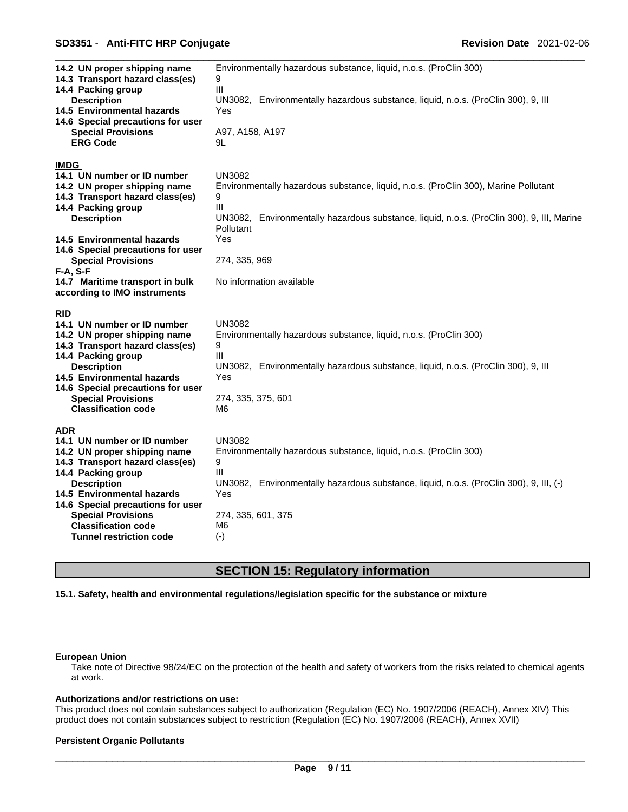#### \_\_\_\_\_\_\_\_\_\_\_\_\_\_\_\_\_\_\_\_\_\_\_\_\_\_\_\_\_\_\_\_\_\_\_\_\_\_\_\_\_\_\_\_\_\_\_\_\_\_\_\_\_\_\_\_\_\_\_\_\_\_\_\_\_\_\_\_\_\_\_\_\_\_\_\_\_\_\_\_\_\_\_\_\_\_\_\_\_\_\_\_\_ **SD3351** - **Anti-FITC HRP Conjugate Revision Date** 2021-02-06

| 14.2 UN proper shipping name<br>14.3 Transport hazard class(es)<br>14.4 Packing group                                          | Environmentally hazardous substance, liquid, n.o.s. (ProClin 300)<br>9<br>Ш                                      |
|--------------------------------------------------------------------------------------------------------------------------------|------------------------------------------------------------------------------------------------------------------|
| <b>Description</b><br>14.5 Environmental hazards<br>14.6 Special precautions for user                                          | UN3082, Environmentally hazardous substance, liquid, n.o.s. (ProClin 300), 9, III<br>Yes                         |
| <b>Special Provisions</b><br><b>ERG Code</b>                                                                                   | A97, A158, A197<br>9L                                                                                            |
| <b>IMDG</b><br>14.1 UN number or ID number                                                                                     | <b>UN3082</b>                                                                                                    |
| 14.2 UN proper shipping name<br>14.3 Transport hazard class(es)                                                                | Environmentally hazardous substance, liquid, n.o.s. (ProClin 300), Marine Pollutant<br>9                         |
| 14.4 Packing group<br><b>Description</b>                                                                                       | III<br>Environmentally hazardous substance, liquid, n.o.s. (ProClin 300), 9, III, Marine<br>UN3082.<br>Pollutant |
| 14.5 Environmental hazards<br>14.6 Special precautions for user                                                                | Yes                                                                                                              |
| <b>Special Provisions</b><br>$F-A, S-F$                                                                                        | 274, 335, 969                                                                                                    |
| 14.7 Maritime transport in bulk<br>according to IMO instruments                                                                | No information available                                                                                         |
| <b>RID</b><br>14.1 UN number or ID number                                                                                      | <b>UN3082</b>                                                                                                    |
| 14.2 UN proper shipping name<br>14.3 Transport hazard class(es)                                                                | Environmentally hazardous substance, liquid, n.o.s. (ProClin 300)<br>9                                           |
| 14.4 Packing group<br><b>Description</b><br>14.5 Environmental hazards                                                         | Ш<br>UN3082, Environmentally hazardous substance, liquid, n.o.s. (ProClin 300), 9, III<br>Yes                    |
| 14.6 Special precautions for user<br><b>Special Provisions</b><br><b>Classification code</b>                                   | 274, 335, 375, 601<br>M6                                                                                         |
| <b>ADR</b><br>14.1 UN number or ID number                                                                                      | <b>UN3082</b>                                                                                                    |
| 14.2 UN proper shipping name<br>14.3 Transport hazard class(es)                                                                | Environmentally hazardous substance, liquid, n.o.s. (ProClin 300)<br>9                                           |
| 14.4 Packing group<br><b>Description</b><br>14.5 Environmental hazards                                                         | Ш<br>UN3082, Environmentally hazardous substance, liquid, n.o.s. (ProClin 300), 9, III, (-)<br>Yes               |
| 14.6 Special precautions for user<br><b>Special Provisions</b><br><b>Classification code</b><br><b>Tunnel restriction code</b> | 274, 335, 601, 375<br>M6                                                                                         |
|                                                                                                                                | $(-)$                                                                                                            |

# **SECTION 15: Regulatory information**

#### **15.1. Safety, health and environmental regulations/legislation specific for the substance or mixture**

# **European Union**

Take note of Directive 98/24/EC on the protection of the health and safety of workers from the risks related to chemical agents at work.

### **Authorizations and/or restrictions on use:**

This product does not contain substances subject to authorization (Regulation (EC) No. 1907/2006 (REACH), Annex XIV) This product does not contain substances subject to restriction (Regulation (EC) No. 1907/2006 (REACH), Annex XVII)

#### **Persistent Organic Pollutants**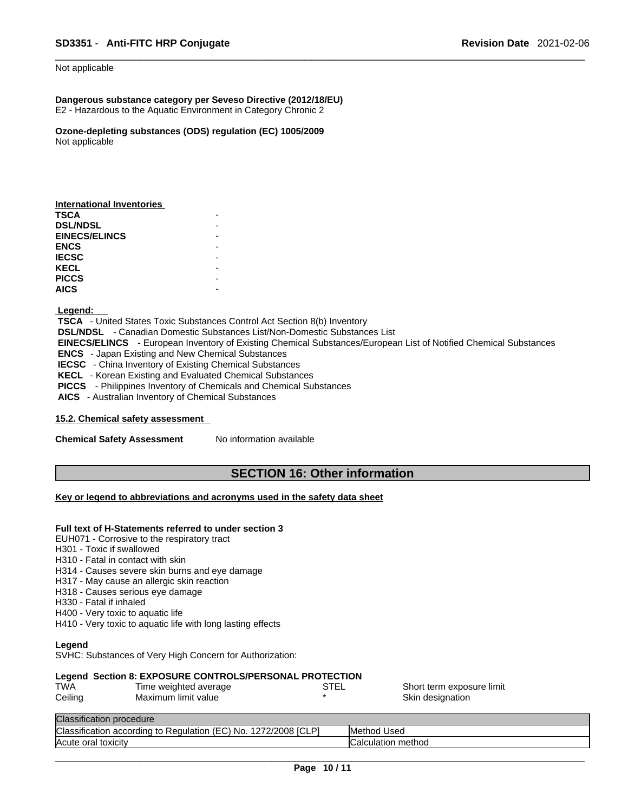#### Not applicable

#### **Dangerous substance category per Seveso Directive (2012/18/EU)** E2 - Hazardous to the Aquatic Environment in Category Chronic 2

**Ozone-depleting substances (ODS) regulation (EC) 1005/2009** Not applicable

#### **Legend:**

 **TSCA** - United States Toxic Substances Control Act Section 8(b) Inventory  **DSL/NDSL** - Canadian Domestic Substances List/Non-Domestic Substances List  **EINECS/ELINCS** - European Inventory of Existing Chemical Substances/European List of Notified Chemical Substances  **ENCS** - Japan Existing and New Chemical Substances **IECSC** - China Inventory of Existing Chemical Substances  **KECL** - Korean Existing and Evaluated Chemical Substances  **PICCS** - Philippines Inventory of Chemicals and Chemical Substances  **AICS** - Australian Inventory of Chemical Substances

#### **15.2. Chemical safety assessment**

**Chemical Safety Assessment** No information available

#### **SECTION 16: Other information**

#### **Key or legend to abbreviations and acronyms used in the safety data sheet**

#### **Full text of H-Statements referred to undersection 3**

EUH071 - Corrosive to the respiratory tract

- H301 Toxic if swallowed
- H310 Fatal in contact with skin
- H314 Causes severe skin burns and eye damage
- H317 May cause an allergic skin reaction
- H318 Causes serious eye damage
- H330 Fatal if inhaled
- H400 Very toxic to aquatic life
- H410 Very toxic to aquatic life with long lasting effects

#### **Legend**

SVHC: Substances of Very High Concern for Authorization:

#### **Legend Section 8: EXPOSURE CONTROLS/PERSONAL PROTECTION**

| TWA     | Time weighted average | STEL | Short term exposure limit |
|---------|-----------------------|------|---------------------------|
| Ceiling | Maximum limit value   |      | Skin designation          |
|         |                       |      |                           |

# Classification procedure

| <b>Classifi</b><br>ום<br>$\cdots$<br>.701<br>$\sim$<br>/2008<br>. acr<br>rdına<br>to<br>kegulation.<br>- No<br>Sification<br>-<br>:COI<br>$\mathbf{r}$<br>╭<br>∣◡∟ | IMe<br>Used<br>ietnoa |
|--------------------------------------------------------------------------------------------------------------------------------------------------------------------|-----------------------|
| lAcute<br>toxicity<br>oral                                                                                                                                         | method<br>iuuialiui i |